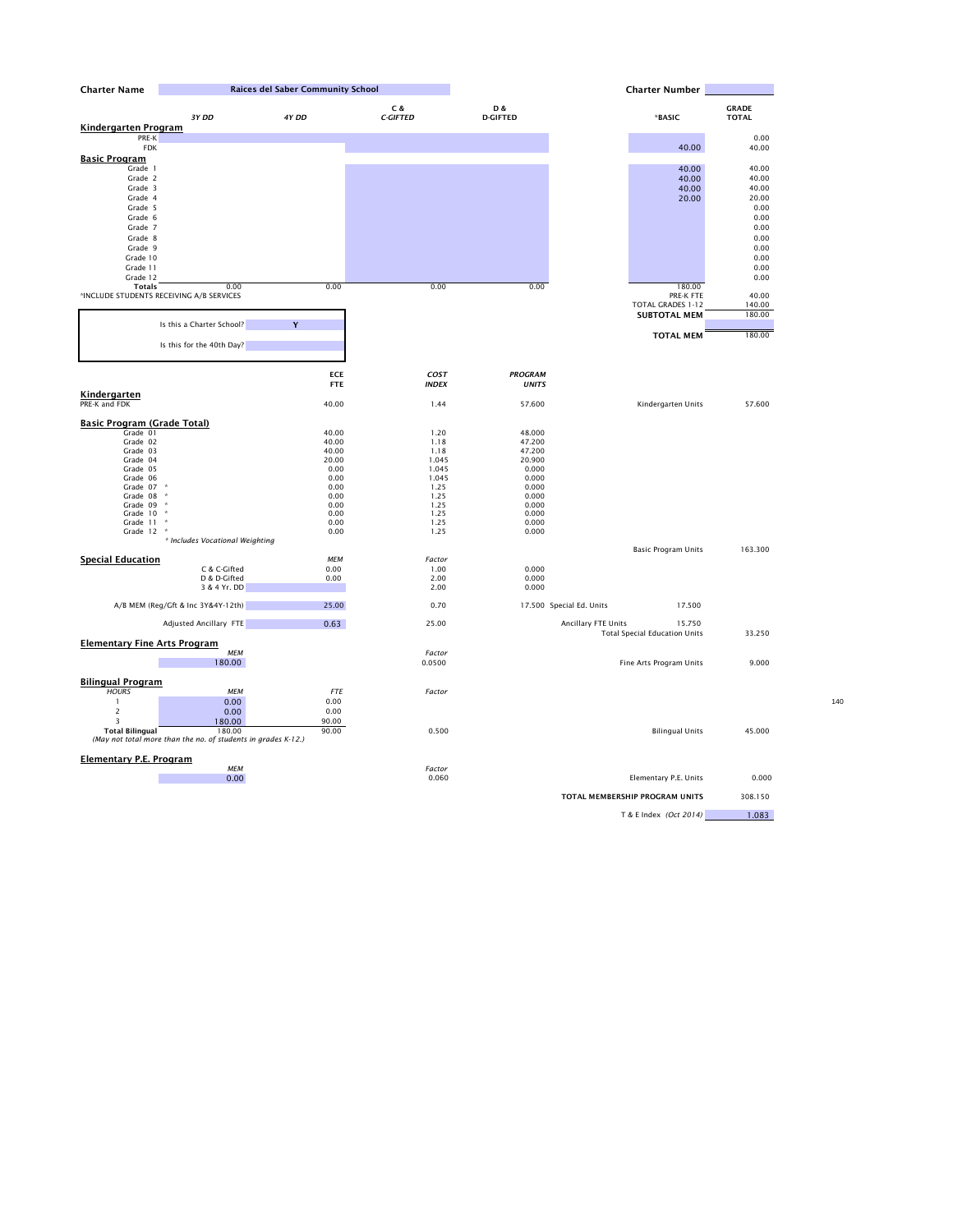| <b>Charter Name</b>                 |                                                               | <b>Raices del Saber Community School</b> |                        |                        | <b>Charter Number</b>                |                              |  |
|-------------------------------------|---------------------------------------------------------------|------------------------------------------|------------------------|------------------------|--------------------------------------|------------------------------|--|
|                                     | 3Y DD                                                         | 4Y DD                                    | C &<br><b>C-GIFTED</b> | D &<br><b>D-GIFTED</b> | *BASIC                               | <b>GRADE</b><br><b>TOTAL</b> |  |
| <b>Kindergarten Program</b>         |                                                               |                                          |                        |                        |                                      |                              |  |
| PRE-K                               |                                                               |                                          |                        |                        |                                      | 0.00                         |  |
| <b>FDK</b>                          |                                                               |                                          |                        |                        | 40.00                                | 40.00                        |  |
| <b>Basic Program</b>                |                                                               |                                          |                        |                        |                                      |                              |  |
| Grade 1                             |                                                               |                                          |                        |                        | 40.00                                | 40.00                        |  |
| Grade 2                             |                                                               |                                          |                        |                        | 40.00                                | 40.00                        |  |
| Grade 3                             |                                                               |                                          |                        |                        | 40.00                                | 40.00                        |  |
| Grade 4                             |                                                               |                                          |                        |                        | 20.00                                | 20.00                        |  |
| Grade 5                             |                                                               |                                          |                        |                        |                                      | 0.00                         |  |
| Grade 6                             |                                                               |                                          |                        |                        |                                      | 0.00                         |  |
| Grade 7                             |                                                               |                                          |                        |                        |                                      | 0.00                         |  |
| Grade 8                             |                                                               |                                          |                        |                        |                                      | 0.00                         |  |
| Grade 9                             |                                                               |                                          |                        |                        |                                      | 0.00                         |  |
| Grade 10                            |                                                               |                                          |                        |                        |                                      | 0.00                         |  |
|                                     |                                                               |                                          |                        |                        |                                      |                              |  |
| Grade 11                            |                                                               |                                          |                        |                        |                                      | 0.00                         |  |
| Grade 12                            |                                                               |                                          |                        |                        |                                      | 0.00                         |  |
| <b>Totals</b>                       | 0.00                                                          | 0.00                                     | 0.00                   | 0.00                   | 180.00                               |                              |  |
|                                     | *INCLUDE STUDENTS RECEIVING A/B SERVICES                      |                                          |                        |                        | PRE-K FTE                            | 40.00                        |  |
|                                     |                                                               |                                          |                        |                        | TOTAL GRADES 1-12                    | 140.00                       |  |
|                                     |                                                               |                                          |                        |                        | <b>SUBTOTAL MEM</b>                  | 180.00                       |  |
|                                     | Is this a Charter School?                                     | Y                                        |                        |                        |                                      |                              |  |
|                                     |                                                               |                                          |                        |                        | <b>TOTAL MEM</b>                     | 180.00                       |  |
|                                     | Is this for the 40th Day?                                     |                                          |                        |                        |                                      |                              |  |
|                                     |                                                               |                                          |                        |                        |                                      |                              |  |
|                                     |                                                               | <b>ECE</b>                               | COST                   | <b>PROGRAM</b>         |                                      |                              |  |
|                                     |                                                               | <b>FTE</b>                               | <b>INDEX</b>           | <b>UNITS</b>           |                                      |                              |  |
| <b>Kindergarten</b>                 |                                                               |                                          |                        |                        |                                      |                              |  |
| PRE-K and FDK                       |                                                               | 40.00                                    | 1.44                   | 57.600                 | Kindergarten Units                   | 57.600                       |  |
|                                     |                                                               |                                          |                        |                        |                                      |                              |  |
| <b>Basic Program (Grade Total)</b>  |                                                               |                                          |                        |                        |                                      |                              |  |
| Grade 01                            |                                                               | 40.00                                    | 1.20                   | 48.000                 |                                      |                              |  |
| Grade 02                            |                                                               | 40.00                                    | 1.18                   | 47.200                 |                                      |                              |  |
| Grade 03                            |                                                               | 40.00                                    | 1.18                   | 47.200                 |                                      |                              |  |
| Grade 04                            |                                                               | 20.00                                    | 1.045                  | 20.900                 |                                      |                              |  |
| Grade 05                            |                                                               | 0.00                                     | 1.045                  | 0.000                  |                                      |                              |  |
| Grade 06                            |                                                               | 0.00                                     | 1.045                  | 0.000                  |                                      |                              |  |
| Grade 07 *                          |                                                               | 0.00                                     | 1.25                   | 0.000                  |                                      |                              |  |
| Grade 08 *                          |                                                               | 0.00                                     | 1.25                   | 0.000                  |                                      |                              |  |
| Grade 09 *                          |                                                               | 0.00                                     | 1.25                   | 0.000                  |                                      |                              |  |
| Grade 10 *                          |                                                               | 0.00                                     | 1.25                   | 0.000                  |                                      |                              |  |
| Grade 11 *<br>Grade 12 *            |                                                               | 0.00                                     | 1.25                   | 0.000                  |                                      |                              |  |
|                                     | * Includes Vocational Weighting                               | 0.00                                     | 1.25                   | 0.000                  |                                      |                              |  |
|                                     |                                                               |                                          |                        |                        | <b>Basic Program Units</b>           | 163.300                      |  |
| <b>Special Education</b>            |                                                               | <b>MEM</b>                               | Factor                 |                        |                                      |                              |  |
|                                     | C & C-Gifted                                                  | 0.00                                     | 1.00                   | 0.000                  |                                      |                              |  |
|                                     | D & D-Gifted                                                  | 0.00                                     | 2.00                   | 0.000                  |                                      |                              |  |
|                                     | 3 & 4 Yr. DD                                                  |                                          | 2.00                   | 0.000                  |                                      |                              |  |
|                                     |                                                               |                                          |                        |                        |                                      |                              |  |
|                                     | A/B MEM (Reg/Gft & Inc 3Y&4Y-12th)                            | 25.00                                    | 0.70                   |                        | 17.500<br>17.500 Special Ed. Units   |                              |  |
|                                     | Adjusted Ancillary FTE                                        | 0.63                                     | 25.00                  |                        | Ancillary FTE Units<br>15.750        |                              |  |
|                                     |                                                               |                                          |                        |                        | <b>Total Special Education Units</b> | 33.250                       |  |
| <b>Elementary Fine Arts Program</b> |                                                               |                                          |                        |                        |                                      |                              |  |
|                                     | <b>MEM</b>                                                    |                                          | Factor                 |                        |                                      |                              |  |
|                                     | 180.00                                                        |                                          | 0.0500                 |                        | Fine Arts Program Units              | 9.000                        |  |
|                                     |                                                               |                                          |                        |                        |                                      |                              |  |
| <b>Bilingual Program</b>            |                                                               |                                          |                        |                        |                                      |                              |  |
| <b>HOURS</b>                        | <b>MEM</b>                                                    | <b>FTE</b>                               | Factor                 |                        |                                      |                              |  |
|                                     | 0.00                                                          | 0.00                                     |                        |                        |                                      |                              |  |
| $\mathbf{2}$                        | 0.00                                                          | 0.00                                     |                        |                        |                                      |                              |  |
| $\overline{3}$                      | 180.00                                                        | 90.00                                    |                        |                        |                                      |                              |  |
| <b>Total Bilingual</b>              | 180.00                                                        | 90.00                                    | 0.500                  |                        | <b>Bilingual Units</b>               | 45.000                       |  |
|                                     | (May not total more than the no. of students in grades K-12.) |                                          |                        |                        |                                      |                              |  |
|                                     |                                                               |                                          |                        |                        |                                      |                              |  |
| <b>Elementary P.E. Program</b>      | <b>MEM</b>                                                    |                                          | Factor                 |                        |                                      |                              |  |
|                                     | 0.00                                                          |                                          | 0.060                  |                        | Elementary P.E. Units                |                              |  |
|                                     |                                                               |                                          |                        |                        |                                      | 0.000                        |  |

**TOTAL MEMBERSHIP PROGRAM UNITS** 308.150

T & E Index *(Oct 2014)* 1.083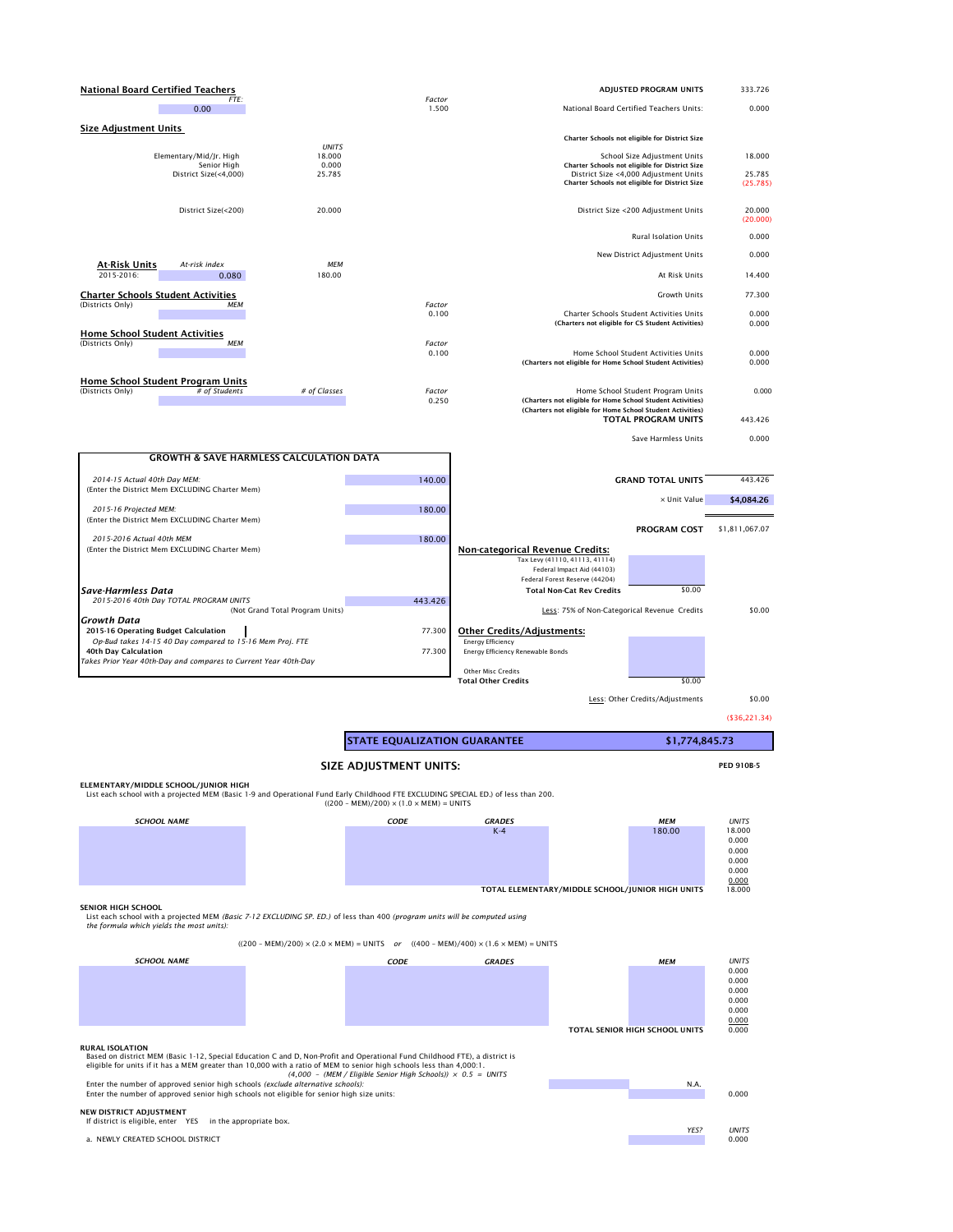| <b>National Board Certified Teachers</b>                                                          |                 | ADJUSTED PROGRAM UNITS                                                                                                                                        | 333.726            |
|---------------------------------------------------------------------------------------------------|-----------------|---------------------------------------------------------------------------------------------------------------------------------------------------------------|--------------------|
| FTE:<br>0.00                                                                                      | Factor<br>1.500 | National Board Certified Teachers Units:                                                                                                                      | 0.000              |
| <b>Size Adjustment Units</b>                                                                      |                 |                                                                                                                                                               |                    |
| <b>UNITS</b>                                                                                      |                 | Charter Schools not eligible for District Size                                                                                                                |                    |
| Elementary/Mid/Jr. High<br>18.000<br>Senior High<br>0.000                                         |                 | School Size Adjustment Units<br>Charter Schools not eligible for District Size                                                                                | 18.000             |
| District Size(<4,000)<br>25.785                                                                   |                 | District Size <4,000 Adjustment Units<br>Charter Schools not eligible for District Size                                                                       | 25.785<br>(25.785) |
| District Size(<200)<br>20.000                                                                     |                 | District Size <200 Adjustment Units                                                                                                                           | 20.000<br>(20.000) |
|                                                                                                   |                 | <b>Rural Isolation Units</b>                                                                                                                                  | 0.000              |
| <b>MEM</b><br><b>At-Risk Units</b><br>At-risk index                                               |                 | New District Adjustment Units                                                                                                                                 | 0.000              |
| 2015-2016:<br>180.00<br>0.080                                                                     |                 | At Risk Units                                                                                                                                                 | 14.400             |
| <b>Charter Schools Student Activities</b>                                                         |                 | <b>Growth Units</b>                                                                                                                                           | 77.300             |
| (Districts Only)<br>МЕМ                                                                           | Factor<br>0.100 | Charter Schools Student Activities Units<br>(Charters not eligible for CS Student Activities)                                                                 | 0.000<br>0.000     |
| <b>Home School Student Activities</b>                                                             |                 |                                                                                                                                                               |                    |
| <b>MEM</b><br>(Districts Only)                                                                    | Factor<br>0.100 | Home School Student Activities Units<br>(Charters not eligible for Home School Student Activities)                                                            | 0.000<br>0.000     |
| <b>Home School Student Program Units</b>                                                          |                 |                                                                                                                                                               |                    |
| # of Students<br>(Districts Only)<br># of Classes                                                 | Factor<br>0.250 | Home School Student Program Units<br>(Charters not eligible for Home School Student Activities)<br>(Charters not eligible for Home School Student Activities) | 0.000              |
|                                                                                                   |                 | <b>TOTAL PROGRAM UNITS</b>                                                                                                                                    | 443.426            |
|                                                                                                   |                 | Save Harmless Units                                                                                                                                           | 0.000              |
| <b>GROWTH &amp; SAVE HARMLESS CALCULATION DATA</b>                                                |                 |                                                                                                                                                               |                    |
| 2014-15 Actual 40th Day MEM:<br>(Enter the District Mem EXCLUDING Charter Mem)                    | 140.00          | <b>GRAND TOTAL UNITS</b>                                                                                                                                      | 443.426            |
|                                                                                                   |                 | x Unit Value                                                                                                                                                  | \$4,084.26         |
| 2015-16 Projected MEM:<br>(Enter the District Mem EXCLUDING Charter Mem)                          | 180.00          |                                                                                                                                                               |                    |
| 2015-2016 Actual 40th MEM                                                                         | 180.00          | <b>PROGRAM COST</b>                                                                                                                                           | \$1,811,067.07     |
| (Enter the District Mem EXCLUDING Charter Mem)                                                    |                 | <b>Non-categorical Revenue Credits:</b><br>Tax Levy (41110, 41113, 41114)<br>Federal Impact Aid (44103)                                                       |                    |
| <b>Save-Harmless Data</b>                                                                         |                 | Federal Forest Reserve (44204)<br><b>Total Non-Cat Rev Credits</b><br>\$0.00                                                                                  |                    |
| 2015-2016 40th Day TOTAL PROGRAM UNITS<br>(Not Grand Total Program Units)                         | 443.426         | Less: 75% of Non-Categorical Revenue Credits                                                                                                                  | \$0.00             |
| <b>Growth Data</b>                                                                                |                 |                                                                                                                                                               |                    |
| 2015-16 Operating Budget Calculation<br>Op-Bud takes 14-15 40 Day compared to 15-16 Mem Proj. FTE | 77.300          | <b>Other Credits/Adjustments:</b><br><b>Energy Efficiency</b>                                                                                                 |                    |
| 40th Day Calculation                                                                              | 77.300          | Energy Efficiency Renewable Bonds                                                                                                                             |                    |
| Takes Prior Year 40th-Day and compares to Current Year 40th-Day                                   |                 | <b>Other Misc Credits</b>                                                                                                                                     |                    |
|                                                                                                   |                 | <b>Total Other Credits</b><br>\$0.00                                                                                                                          |                    |
|                                                                                                   |                 | Less: Other Credits/Adjustments                                                                                                                               | \$0.00             |

(\$36,221.34)

# **SIZE ADJUSTMENT UNITS: PED 910B-5**

**ELEMENTARY/MIDDLE SCHOOL/JUNIOR HIGH**

List each school with a projected MEM (Basic 1-9 and Operational Fund Early Childhood FTE EXCLUDING SPECIAL ED.) of less than 200.

 $((200 - \text{MEM})/200) \times (1.0 \times \text{MEM}) = \text{UNITS}$ 

#### **SENIOR HIGH SCHOOL**

List each school with a projected MEM *(Basic 7-12 EXCLUDING SP. ED.)* of less than 400 *(program units will be computed using the formula which yields the most units):* 

### **RURAL ISOLATION**



Based on district MEM (Basic 1-12, Special Education C and D, Non-Profit and Operational Fund Childhood FTE), a district is eligible for units if it has a MEM greater than 10,000 with a ratio of MEM to senior high schools less than 4,000:1. *(4,000 – (MEM / Eligible Senior High Schools)) × 0.5 = UNITS* Enter the number of approved senior high schools *(exclude alternative schools):* N.A.



## **NEW DISTRICT ADJUSTMENT**

If district is eligible, enter YES in the appropriate box.



**\$1,774,845.73**

**STATE EQUALIZATION GUARANTEE**